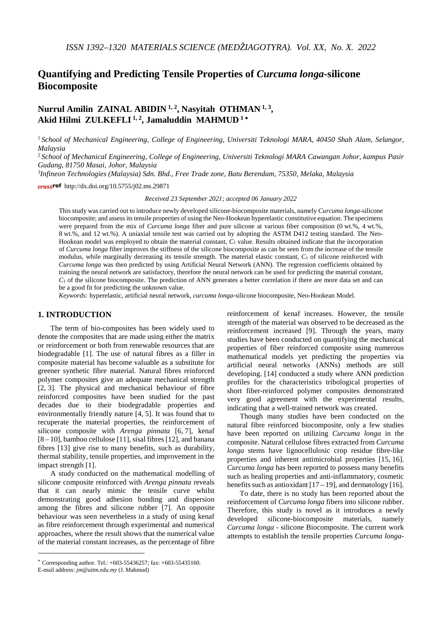# **Quantifying and Predicting Tensile Properties of** *Curcuma longa-***silicone Biocomposite**

## **Nurrul Amilin ZAINAL ABIDIN 1, 2, Nasyitah OTHMAN 1, 3, Akid Hilmi ZULKEFLI 1, 2, Jamaluddin MAHMUD <sup>1</sup>** <sup>∗</sup>

<sup>1</sup> *School of Mechanical Engineering, College of Engineering, Universiti Teknologi MARA, 40450 Shah Alam, Selangor, Malaysia*

<sup>2</sup> *School of Mechanical Engineering, College of Engineering, Universiti Teknologi MARA Cawangan Johor, kampus Pasir Gudang, 81750 Masai, Johor, Malaysia*

*3 Infineon Technologies (Malaysia) Sdn. Bhd., Free Trade zone, Batu Berendam, 75350, Melaka, Malaysia*

crossref http://dx.doi.org/10.5755/j02.ms.29871

*Received 23 September 2021; accepted 06 January 2022*

This study was carried out to introduce newly developed silicone-biocomposite materials, namely *Curcuma longa-*silicone biocomposite; and assess itstensile properties of using the Neo-Hookean hyperelastic constitutive equation. The specimens were prepared from the mix of *Curcuma longa* fiber and pure silicone at various fiber composition (0 wt.%, 4 wt.%, 8 wt.%, and 12 wt.%). A uniaxial tensile test was carried out by adopting the ASTM D412 testing standard. The Neo-Hookean model was employed to obtain the material constant, *C*<sup>1</sup> value. Results obtained indicate that the incorporation of *Curcuma longa* fiber improves the stiffness of the silicone biocomposite as can be seen from the increase of the tensile modulus, while marginally decreasing its tensile strength. The material elastic constant, *C*<sup>1</sup> of silicone reinforced with *Curcuma longa* was then predicted by using Artificial Neural Network (ANN). The regression coefficients obtained by training the neural network are satisfactory, therefore the neural network can be used for predicting the material constant,  $C_1$  of the silicone biocomposite. The prediction of ANN generates a better correlation if there are more data set and can be a good fit for predicting the unknown value.

*Keywords:* hyperelastic, artificial neural network, *curcuma longa*-silicone biocomposite, Neo-Hookean Model.

## **1. INTRODUCTION**[∗](#page-0-0)

The term of bio-composites has been widely used to denote the composites that are made using either the matrix or reinforcement or both from renewable resources that are biodegradable [1]. The use of natural fibres as a filler in composite material has become valuable as a substitute for greener synthetic fibre material. Natural fibres reinforced polymer composites give an adequate mechanical strength [2, 3]. The physical and mechanical behaviour of fibre reinforced composites have been studied for the past decades due to their biodegradable properties and environmentally friendly nature [4, 5]. It was found that to recuperate the material properties, the reinforcement of silicone composite with *Arenga pinnata* [6, 7], kenaf  $[8 - 10]$ , bamboo cellulose  $[11]$ , sisal fibres  $[12]$ , and banana fibres [13] give rise to many benefits, such as durability, thermal stability, tensile properties, and improvement in the impact strength [1].

A study conducted on the mathematical modelling of silicone composite reinforced with *Arenga pinnata* reveals that it can nearly mimic the tensile curve whilst demonstrating good adhesion bonding and dispersion among the fibres and silicone rubber [7]. An opposite behaviour was seen nevertheless in a study of using kenaf as fibre reinforcement through experimental and numerical approaches, where the result shows that the numerical value of the material constant increases, as the percentage of fibre

<u>.</u>

reinforcement of kenaf increases. However, the tensile strength of the material was observed to be decreased as the reinforcement increased [9]. Through the years, many studies have been conducted on quantifying the mechanical properties of fiber reinforced composite using numerous mathematical models yet predicting the properties via artificial neural networks (ANNs) methods are still developing. [14] conducted a study where ANN prediction profiles for the characteristics tribological properties of short fiber-reinforced polymer composites demonstrated very good agreement with the experimental results, indicating that a well-trained network was created.

Though many studies have been conducted on the natural fibre reinforced biocomposite, only a few studies have been reported on utilizing *Curcuma longa* in the composite. Natural cellulose fibres extracted from *Curcuma longa* stems have lignocellulosic crop residue fibre-like properties and inherent antimicrobial properties [15, 16]. *Curcuma longa* has been reported to possess many benefits such as healing properties and anti-inflammatory, cosmetic benefits such as antioxidant  $[17-19]$ , and dermatology  $[16]$ .

To date, there is no study has been reported about the reinforcement of *Curcuma longa* fibers into silicone rubber. Therefore, this study is novel as it introduces a newly developed silicone-biocomposite materials, namely *Curcuma longa* - silicone Biocomposite. The current work attempts to establish the tensile properties *Curcuma longa-*

<span id="page-0-0"></span><sup>∗</sup> Corresponding author. Tel.: +603-55436257; fax: +603-55435160.

E-mail address: *jm@uitm.edu.my* (J. Mahmud)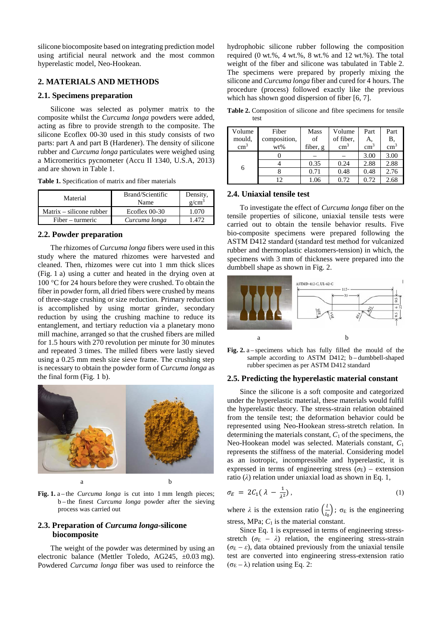silicone biocomposite based on integrating prediction model using artificial neural network and the most common hyperelastic model, Neo-Hookean.

#### **2. MATERIALS AND METHODS**

#### **2.1. Specimens preparation**

Silicone was selected as polymer matrix to the composite whilst the *Curcuma longa* powders were added, acting as fibre to provide strength to the composite. The silicone Ecoflex 00-30 used in this study consists of two parts: part A and part B (Hardener). The density of silicone rubber and *Curcuma longa* particulates were weighed using a Micromeritics pycnometer (Accu II 1340, U.S.A, 2013) and are shown in Table 1.

**Table 1.** Specification of matrix and fiber materials

| Material                 | Brand/Scientific<br>Name | Density,<br>g/cm <sup>3</sup> |
|--------------------------|--------------------------|-------------------------------|
| Matrix – silicone rubber | Ecoflex $00-30$          | 1 070                         |
| Fiber – turmeric         | Curcuma longa            | I 472                         |

## **2.2. Powder preparation**

The rhizomes of *Curcuma longa* fibers were used in this study where the matured rhizomes were harvested and cleaned. Then, rhizomes were cut into 1 mm thick slices (Fig. 1 a) using a cutter and heated in the drying oven at 100 °C for 24 hours before they were crushed. To obtain the fiber in powder form, all dried fibers were crushed by means of three-stage crushing or size reduction. Primary reduction is accomplished by using mortar grinder, secondary reduction by using the crushing machine to reduce its entanglement, and tertiary reduction via a planetary mono mill machine, arranged so that the crushed fibers are milled for 1.5 hours with 270 revolution per minute for 30 minutes and repeated 3 times. The milled fibers were lastly sieved using a 0.25 mm mesh size sieve frame. The crushing step is necessary to obtain the powder form of *Curcuma longa* as the final form (Fig. 1 b).



Fig. 1. a-the *Curcuma longa* is cut into 1 mm length pieces; b – the finest *Curcuma longa* powder after the sieving process was carried out

## **2.3. Preparation of** *Curcuma longa-***silicone biocomposite**

The weight of the powder was determined by using an electronic balance (Mettler Toledo, AG245, ±0.03 mg). Powdered *Curcuma longa* fiber was used to reinforce the

hydrophobic silicone rubber following the composition required  $(0 \text{ wt.}\%), 4 \text{ wt.}\%$ ,  $8 \text{ wt.}\%$  and  $12 \text{ wt.}\%$ ). The total weight of the fiber and silicone was tabulated in Table 2. The specimens were prepared by properly mixing the silicone and *Curcuma longa* fiber and cured for 4 hours. The procedure (process) followed exactly like the previous which has shown good dispersion of fiber [6, 7].

**Table 2.** Composition of silicone and fibre specimens for tensile test

| Volume     | Fiber        | <b>Mass</b> | Volume     | Part          | Part          |
|------------|--------------|-------------|------------|---------------|---------------|
| mould,     | composition, | of          | of fiber.  | А,            | Β,            |
| $\rm cm^3$ | wt%          | fiber, g    | $\rm cm^3$ | $\text{cm}^3$ | $\text{cm}^3$ |
| 6          |              |             |            | 3.00          | 3.00          |
|            |              | 0.35        | 0.24       | 2.88          | 2.88          |
|            |              | 0.71        | 0.48       | 0.48          | 2.76          |
|            | 12           | 1.06        | 0.72       | 0.72          | 2.68          |

## **2.4. Uniaxial tensile test**

To investigate the effect of *Curcuma longa* fiber on the tensile properties of silicone, uniaxial tensile tests were carried out to obtain the tensile behavior results. Five bio-composite specimens were prepared following the ASTM D412 standard (standard test method for vulcanized rubber and thermoplastic elastomers-tension) in which, the specimens with 3 mm of thickness were prepared into the dumbbell shape as shown in Fig. 2.



**Fig. 2.** a – specimens which has fully filled the mould of the sample according to ASTM D412; b-dumbbell-shaped rubber specimen as per ASTM D412 standard

#### **2.5. Predicting the hyperelastic material constant**

Since the silicone is a soft composite and categorized under the hyperelastic material, these materials would fulfil the hyperelastic theory. The stress-strain relation obtained from the tensile test; the deformation behavior could be represented using Neo-Hookean stress-stretch relation. In determining the materials constant,  $C_1$  of the specimens, the Neo-Hookean model was selected. Materials constant, *C*<sup>1</sup> represents the stiffness of the material. Considering model as an isotropic, incompressible and hyperelastic, it is expressed in terms of engineering stress ( $\sigma$ E) – extension ratio  $(\lambda)$  relation under uniaxial load as shown in Eq. 1,

$$
\sigma_E = 2C_1(\lambda - \frac{1}{\lambda^2}),\tag{1}
$$

where  $\lambda$  is the extension ratio  $\left(\frac{l}{l_0}\right)$ ;  $\sigma_E$  is the engineering stress, MPa;  $C_1$  is the material constant.

Since Eq. 1 is expressed in terms of engineering stressstretch ( $\sigma$ <sub>E</sub> –  $\lambda$ ) relation, the engineering stress-strain  $(\sigma_{\rm E} - \varepsilon)$ , data obtained previously from the uniaxial tensile test are converted into engineering stress-extension ratio  $(\sigma_{\rm E} - \lambda)$  relation using Eq. 2: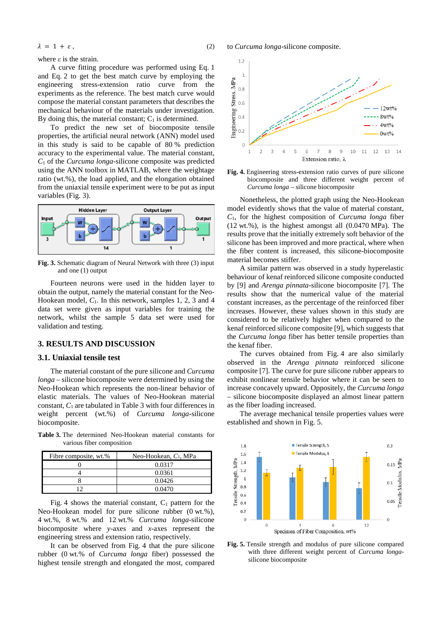$$
\lambda = 1 + \varepsilon, \tag{2}
$$

where *ε* is the strain.

A curve fitting procedure was performed using Eq. 1 and Eq. 2 to get the best match curve by employing the engineering stress-extension ratio curve from the experiments as the reference. The best match curve would compose the material constant parameters that describes the mechanical behaviour of the materials under investigation. By doing this, the material constant;  $C_1$  is determined.

To predict the new set of biocomposite tensile properties, the artificial neural network (ANN) model used in this study is said to be capable of 80 % prediction accuracy to the experimental value. The material constant, *C*<sup>1</sup> of the *Curcuma longa-*silicone composite was predicted using the ANN toolbox in MATLAB, where the weightage ratio (wt.%), the load applied, and the elongation obtained from the uniaxial tensile experiment were to be put as input variables (Fig. 3).



**Fig. 3.** Schematic diagram of Neural Network with three (3) input and one (1) output

Fourteen neurons were used in the hidden layer to obtain the output, namely the material constant for the Neo-Hookean model, *C*1. In this network, samples 1, 2, 3 and 4 data set were given as input variables for training the network, whilst the sample 5 data set were used for validation and testing.

#### **3. RESULTS AND DISCUSSION**

#### **3.1. Uniaxial tensile test**

The material constant of the pure silicone and *Curcuma longa* – silicone biocomposite were determined by using the Neo-Hookean which represents the non-linear behavior of elastic materials. The values of Neo-Hookean material constant, *C*<sup>1</sup> are tabulated in Table 3 with four differences in weight percent (wt.%) of *Curcuma longa-*silicone biocomposite.

**Table 3.** The determined Neo-Hookean material constants for various fiber composition

| Fibre composite, wt.% | Neo-Hookean, $C_1$ , MPa |
|-----------------------|--------------------------|
|                       | 0.0317                   |
|                       | 0.0361                   |
|                       | 0.0426                   |
|                       | 0.0470                   |

Fig. 4 shows the material constant,  $C_1$  pattern for the Neo-Hookean model for pure silicone rubber (0 wt.%), 4 wt.%, 8 wt.% and 12 wt.% *Curcuma longa*-silicone biocomposite where *y*-axes and *x*-axes represent the engineering stress and extension ratio, respectively.

It can be observed from Fig. 4 that the pure silicone rubber (0 wt.% of *Curcuma longa* fiber) possessed the highest tensile strength and elongated the most, compared to *Curcuma longa*-silicone composite.



**Fig. 4.** Engineering stress-extension ratio curves of pure silicone biocomposite and three different weight percent of *Curcuma longa* – silicone biocomposite

Nonetheless, the plotted graph using the Neo-Hookean model evidently shows that the value of material constant, *C*1, for the highest composition of *Curcuma longa* fiber (12 wt.%), is the highest amongst all (0.0470 MPa). The results prove that the initially extremely soft behavior of the silicone has been improved and more practical, where when the fiber content is increased, this silicone-biocomposite material becomes stiffer.

A similar pattern was observed in a study hyperelastic behaviour of kenaf reinforced silicone composite conducted by [9] and *Arenga pinnata-*silicone biocomposite [7]. The results show that the numerical value of the material constant increases, as the percentage of the reinforced fiber increases. However, these values shown in this study are considered to be relatively higher when compared to the kenaf reinforced silicone composite [9], which suggests that the *Curcuma longa* fiber has better tensile properties than the kenaf fiber.

The curves obtained from Fig. 4 are also similarly observed in the *Arenga pinnata* reinforced silicone composite [7]. The curve for pure silicone rubber appears to exhibit nonlinear tensile behavior where it can be seen to increase concavely upward. Oppositely, the *Curcuma longa* – silicone biocomposite displayed an almost linear pattern as the fiber loading increased.

The average mechanical tensile properties values were established and shown in Fig. 5.



**Fig. 5.** Tensile strength and modulus of pure silicone compared with three different weight percent of *Curcuma longa*silicone biocomposite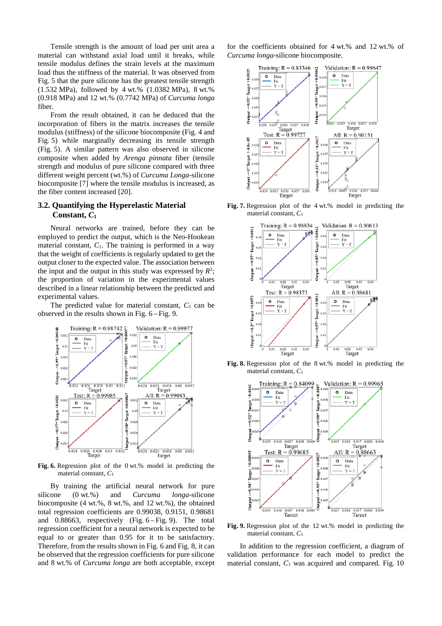Tensile strength is the amount of load per unit area a material can withstand axial load until it breaks, while tensile modulus defines the strain levels at the maximum load thus the stiffness of the material. It was observed from Fig. 5 that the pure silicone has the greatest tensile strength (1.532 MPa), followed by 4 wt.% (1.0382 MPa), 8 wt.% (0.918 MPa) and 12 wt.% (0.7742 MPa) of *Curcuma longa* fiber.

From the result obtained, it can be deduced that the incorporation of fibers in the matrix increases the tensile modulus (stiffness) of the silicone biocomposite (Fig. 4 and Fig. 5) while marginally decreasing its tensile strength (Fig. 5). A similar pattern was also observed in silicone composite when added by *Arenga pinnata* fiber (tensile strength and modulus of pure silicone compared with three different weight percent (wt.%) of *Curcuma Longa*-silicone biocomposite [7] where the tensile modulus is increased, as the fiber content increased [20].

## **3.2. Quantifying the Hyperelastic Material Constant,** *C***<sup>1</sup>**

Neural networks are trained, before they can be employed to predict the output, which is the Neo-Hookean material constant,  $C_1$ . The training is performed in a way that the weight of coefficients is regularly updated to get the output closer to the expected value. The association between the input and the output in this study was expressed by  $R^2$ ; the proportion of variation in the experimental values described in a linear relationship between the predicted and experimental values.

The predicted value for material constant,  $C_1$  can be



**Fig. 6.** Regression plot of the 0 wt.% model in predicting the material constant, *C*<sup>1</sup>

By training the artificial neural network for pure silicone (0 wt.%) and *Curcuma longa*-silicone biocomposite (4 wt.%, 8 wt.%, and 12 wt.%), the obtained total regression coefficients are 0.99038, 0.9151, 0.98681 and 0.88663, respectively (Fig. 6 – Fig. 9). The total regression coefficient for a neural network is expected to be equal to or greater than 0.95 for it to be satisfactory. Therefore, from the results shown in Fig. 6 and Fig. 8, it can be observed that the regression coefficients for pure silicone and 8 wt.% of *Curcuma longa* are both acceptable, except for the coefficients obtained for 4 wt.% and 12 wt.% of *Curcuma longa*-silicone biocomposite.



**Fig. 7.** Regression plot of the 4 wt.% model in predicting the material constant, *C*<sup>1</sup>



**Fig. 8.** Regression plot of the 8 wt.% model in predicting the material constant, *C*<sup>1</sup>



**Fig. 9.** Regression plot of the 12 wt.% model in predicting the material constant, *C*<sup>1</sup>

In addition to the regression coefficient, a diagram of validation performance for each model to predict the material constant,  $C_1$  was acquired and compared. Fig. 10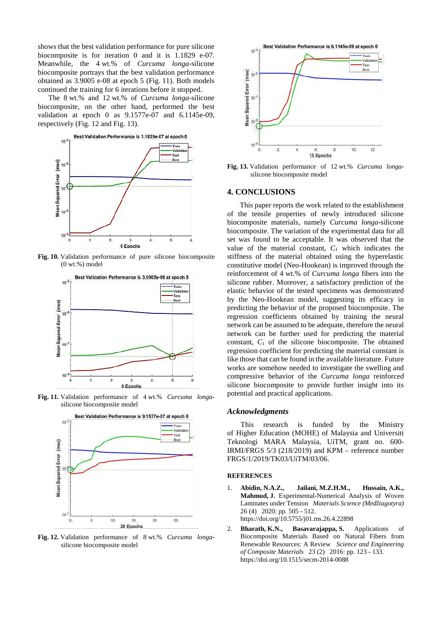shows that the best validation performance for pure silicone biocomposite is for iteration 0 and it is 1.1829 e-07. Meanwhile, the 4 wt.% of *Curcuma longa*-silicone biocomposite portrays that the best validation performance obtained as 3.9005 e-08 at epoch 5 (Fig. 11). Both models continued the training for 6 iterations before it stopped.

The 8 wt.% and 12 wt.% of *Curcuma longa*-silicone biocomposite, on the other hand, performed the best validation at epoch 0 as 9.1577e-07 and 6.1145e-09, respectively (Fig. 12 and Fig. 13).



**Fig. 10.** Validation performance of pure silicone biocomposite (0 wt.%) model



**Fig. 11.** Validation performance of 4 wt.% *Curcuma longa*silicone biocomposite model



**Fig. 12.** Validation performance of 8 wt.% *Curcuma longa*silicone biocomposite model



**Fig. 13.** Validation performance of 12 wt.% *Curcuma longa*silicone biocomposite model

#### **4. CONCLUSIONS**

This paper reports the work related to the establishment of the tensile properties of newly introduced silicone biocomposite materials, namely *Curcuma longa*-silicone biocomposite. The variation of the experimental data for all set was found to be acceptable. It was observed that the value of the material constant,  $C_1$  which indicates the stiffness of the material obtained using the hyperelastic constitutive model (Neo-Hookean) is improved through the reinforcement of 4 wt.% of *Curcuma longa* fibers into the silicone rubber. Moreover, a satisfactory prediction of the elastic behavior of the tested specimens was demonstrated by the Neo-Hookean model, suggesting its efficacy in predicting the behavior of the proposed biocomposite. The regression coefficients obtained by training the neural network can be assumed to be adequate, therefore the neural network can be further used for predicting the material constant,  $C_1$  of the silicone biocomposite. The obtained regression coefficient for predicting the material constant is like those that can be found in the available literature. Future works are somehow needed to investigate the swelling and compressive behavior of the *Curcuma longa* reinforced silicone biocomposite to provide further insight into its potential and practical applications.

#### *Acknowledgments*

This research is funded by the Ministry of Higher Education (MOHE) of Malaysia and Universiti Teknologi MARA Malaysia, UiTM, grant no. 600- IRMI/FRGS 5/3 (218/2019) and KPM – reference number FRGS/1/2019/TK03/UiTM/03/06.

#### **REFERENCES**

- 1. **Abidin, N.A.Z., Jailani, M.Z.H.M., Hussain, A.K., Mahmud, J.** Experimental-Numerical Analysis of Woven Laminates under Tension *Materials Science (Medžiagotyra)*  26 (4) 2020: pp. 505 – 512. https://doi.org/10.5755/j01.ms.26.4.22898
- 2. **Bharath, K.N., Basavarajappa, S.** Applications of Biocomposite Materials Based on Natural Fibers from Renewable Resources: A Review *Science and Engineering of Composite Materials* 23 (2) 2016: pp. 123 – 133. https://doi.org/10.1515/secm-2014-0088